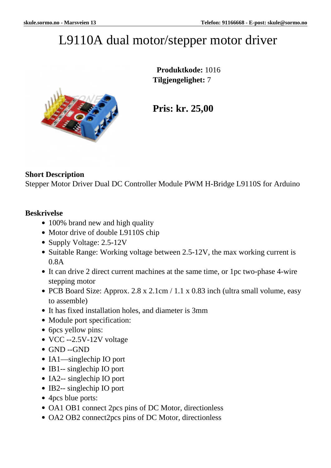## L9110A dual motor/stepper motor driver



 **Produktkode:** 1016 **Tilgjengelighet:** 7

**Pris: kr. 25,00**

## **Short Description**

Stepper Motor Driver Dual DC Controller Module PWM H-Bridge L9110S for Arduino

## **Beskrivelse**

- 100% brand new and high quality
- Motor drive of double L9110S chip
- Supply Voltage: 2.5-12V
- Suitable Range: Working voltage between 2.5-12V, the max working current is 0.8A
- It can drive 2 direct current machines at the same time, or 1pc two-phase 4-wire stepping motor
- PCB Board Size: Approx. 2.8 x 2.1cm / 1.1 x 0.83 inch (ultra small volume, easy to assemble)
- It has fixed installation holes, and diameter is 3mm
- Module port specification:
- 6pcs yellow pins:
- VCC --2.5V-12V voltage
- GND --GND
- IA1—singlechip IO port
- IB1-- singlechip IO port
- IA2-- singlechip IO port
- IB2-- singlechip IO port
- 4pcs blue ports:
- OA1 OB1 connect 2pcs pins of DC Motor, directionless
- OA2 OB2 connect2pcs pins of DC Motor, directionless